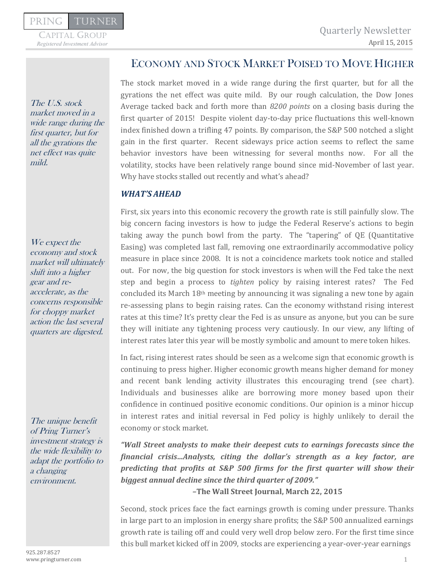Capital Group

The U.S. stock market moved in a wide range during the first quarter, but for all the gyrations the net effect was quite mild.

We expect the economy and stock market will ultimately shift into a higher gear and reaccelerate, as the concerns responsible for choppy market action the last several quarters are digested.

The unique benefit of Pring Turner's investment strategy is the wide flexibility to adapt the portfolio to a changing environment.

## ECONOMY AND STOCK MARKET POISED TO MOVE HIGHER

The stock market moved in a wide range during the first quarter, but for all the gyrations the net effect was quite mild. By our rough calculation, the Dow Jones Average tacked back and forth more than *8200 points* on a closing basis during the first quarter of 2015! Despite violent day-to-day price fluctuations this well-known index finished down a trifling 47 points. By comparison, the S&P 500 notched a slight gain in the first quarter. Recent sideways price action seems to reflect the same behavior investors have been witnessing for several months now. For all the volatility, stocks have been relatively range bound since mid-November of last year. Why have stocks stalled out recently and what's ahead?

## *WHAT'S AHEAD*

First, six years into this economic recovery the growth rate is still painfully slow. The big concern facing investors is how to judge the Federal Reserve's actions to begin taking away the punch bowl from the party. The "tapering" of QE (Quantitative Easing) was completed last fall, removing one extraordinarily accommodative policy measure in place since 2008. It is not a coincidence markets took notice and stalled out. For now, the big question for stock investors is when will the Fed take the next step and begin a process to *tighten* policy by raising interest rates? The Fed concluded its March  $18<sup>th</sup>$  meeting by announcing it was signaling a new tone by again re-assessing plans to begin raising rates. Can the economy withstand rising interest rates at this time? It's pretty clear the Fed is as unsure as anyone, but you can be sure they will initiate any tightening process very cautiously. In our view, any lifting of interest rates later this year will be mostly symbolic and amount to mere token hikes.

In fact, rising interest rates should be seen as a welcome sign that economic growth is continuing to press higher. Higher economic growth means higher demand for money and recent bank lending activity illustrates this encouraging trend (see chart). Individuals and businesses alike are borrowing more money based upon their confidence in continued positive economic conditions. Our opinion is a minor hiccup in interest rates and initial reversal in Fed policy is highly unlikely to derail the economy or stock market.

*"Wall Street analysts to make their deepest cuts to earnings forecasts since the financial crisis…Analysts, citing the dollar's strength as a key factor, are predicting that profits at S&P 500 firms for the first quarter will show their biggest annual decline since the third quarter of 2009."* 

*–***The Wall Street Journal, March 22, 2015** 

Second, stock prices face the fact earnings growth is coming under pressure. Thanks in large part to an implosion in energy share profits; the S&P 500 annualized earnings growth rate is tailing off and could very well drop below zero. For the first time since this bull market kicked off in 2009, stocks are experiencing a year-over-year earnings